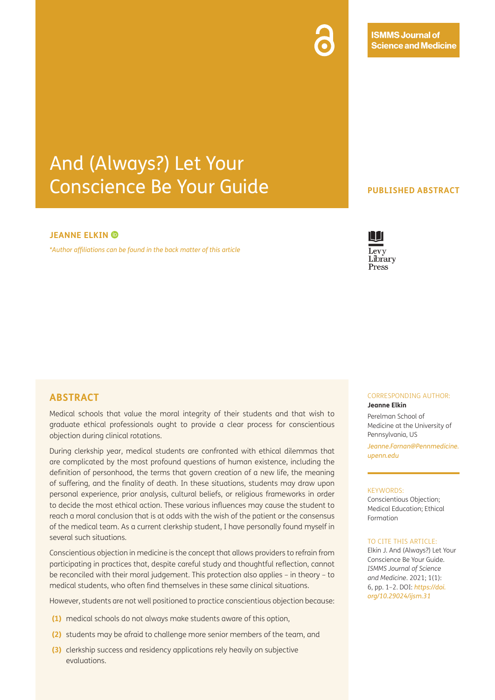**ISMMS Journal of Science and Medicine** 

# And (Always?) Let Your Conscience Be Your Guide

### **JEANNEELKIN**<sup><sup>®</sup></sup>

*[\\*Author affiliations can be found in the back matter of this article](#page-1-0)*

### **PUBLISHED ABSTRACT**

# Library Press

## **ABSTRACT**

Medical schools that value the moral integrity of their students and that wish to graduate ethical professionals ought to provide a clear process for conscientious objection during clinical rotations.

During clerkship year, medical students are confronted with ethical dilemmas that are complicated by the most profound questions of human existence, including the definition of personhood, the terms that govern creation of a new life, the meaning of suffering, and the finality of death. In these situations, students may draw upon personal experience, prior analysis, cultural beliefs, or religious frameworks in order to decide the most ethical action. These various influences may cause the student to reach a moral conclusion that is at odds with the wish of the patient or the consensus of the medical team. As a current clerkship student, I have personally found myself in several such situations.

Conscientious objection in medicine is the concept that allows providers to refrain from participating in practices that, despite careful study and thoughtful reflection, cannot be reconciled with their moral judgement. This protection also applies – in theory – to medical students, who often find themselves in these same clinical situations.

However, students are not well positioned to practice conscientious objection because:

- **(1)** medical schools do not always make students aware of this option,
- **(2)** students may be afraid to challenge more senior members of the team, and
- **(3)** clerkship success and residency applications rely heavily on subjective evaluations.

#### CORRESPONDING AUTHOR: **Jeanne Elkin**

Perelman School of Medicine at the University of Pennsylvania, US

*[Jeanne.Farnan@Pennmedicine.](mailto:Jeanne.Farnan@Pennmedicine.upenn.edu) [upenn.edu](mailto:Jeanne.Farnan@Pennmedicine.upenn.edu)*

#### KEYWORDS:

Conscientious Objection; Medical Education; Ethical Formation

#### TO CITE THIS ARTICLE:

Elkin J. And (Always?) Let Your Conscience Be Your Guide. *ISMMS Journal of Science and Medicine*. 2021; 1(1): 6, pp. 1–2. DOI: *[https://doi.](https://doi.org/10.29024/ijsm.31) [org/10.29024/ijsm.31](https://doi.org/10.29024/ijsm.31)*